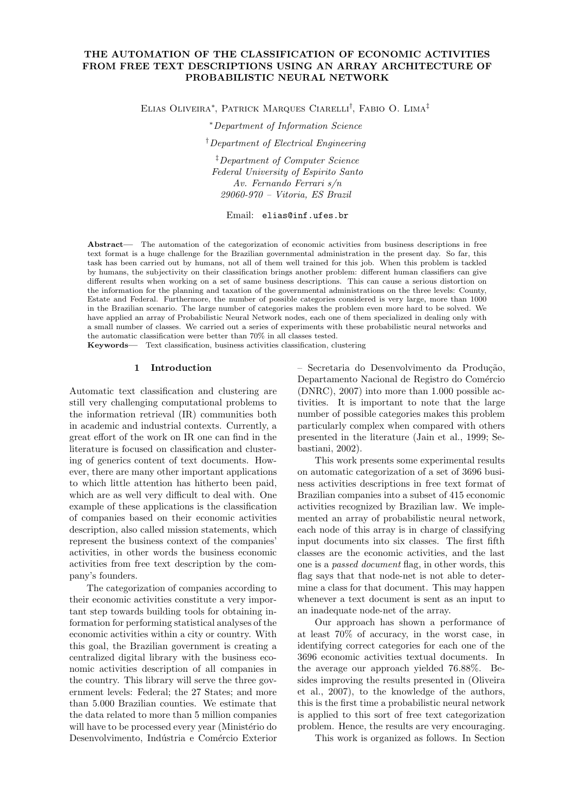# THE AUTOMATION OF THE CLASSIFICATION OF ECONOMIC ACTIVITIES FROM FREE TEXT DESCRIPTIONS USING AN ARRAY ARCHITECTURE OF PROBABILISTIC NEURAL NETWORK

Elias Oliveira<sup>∗</sup> , Patrick Marques Ciarelli† , Fabio O. Lima‡

<sup>∗</sup>Department of Information Science

†Department of Electrical Engineering

‡Department of Computer Science Federal University of Espirito Santo Av. Fernando Ferrari s/n 29060-970 – Vitoria, ES Brazil

Email: elias@inf.ufes.br

Abstract— The automation of the categorization of economic activities from business descriptions in free text format is a huge challenge for the Brazilian governmental administration in the present day. So far, this task has been carried out by humans, not all of them well trained for this job. When this problem is tackled by humans, the subjectivity on their classification brings another problem: different human classifiers can give different results when working on a set of same business descriptions. This can cause a serious distortion on the information for the planning and taxation of the governmental administrations on the three levels: County, Estate and Federal. Furthermore, the number of possible categories considered is very large, more than 1000 in the Brazilian scenario. The large number of categories makes the problem even more hard to be solved. We have applied an array of Probabilistic Neural Network nodes, each one of them specialized in dealing only with a small number of classes. We carried out a series of experiments with these probabilistic neural networks and the automatic classification were better than 70% in all classes tested.

Keywords— Text classification, business activities classification, clustering

### 1 Introduction

Automatic text classification and clustering are still very challenging computational problems to the information retrieval (IR) communities both in academic and industrial contexts. Currently, a great effort of the work on IR one can find in the literature is focused on classification and clustering of generics content of text documents. However, there are many other important applications to which little attention has hitherto been paid, which are as well very difficult to deal with. One example of these applications is the classification of companies based on their economic activities description, also called mission statements, which represent the business context of the companies' activities, in other words the business economic activities from free text description by the company's founders.

The categorization of companies according to their economic activities constitute a very important step towards building tools for obtaining information for performing statistical analyses of the economic activities within a city or country. With this goal, the Brazilian government is creating a centralized digital library with the business economic activities description of all companies in the country. This library will serve the three government levels: Federal; the 27 States; and more than 5.000 Brazilian counties. We estimate that the data related to more than 5 million companies will have to be processed every year (Ministério do Desenvolvimento, Indústria e Comércio Exterior

– Secretaria do Desenvolvimento da Produ¸c˜ao, Departamento Nacional de Registro do Comércio (DNRC), 2007) into more than 1.000 possible activities. It is important to note that the large number of possible categories makes this problem particularly complex when compared with others presented in the literature (Jain et al., 1999; Sebastiani, 2002).

This work presents some experimental results on automatic categorization of a set of 3696 business activities descriptions in free text format of Brazilian companies into a subset of 415 economic activities recognized by Brazilian law. We implemented an array of probabilistic neural network, each node of this array is in charge of classifying input documents into six classes. The first fifth classes are the economic activities, and the last one is a passed document flag, in other words, this flag says that that node-net is not able to determine a class for that document. This may happen whenever a text document is sent as an input to an inadequate node-net of the array.

Our approach has shown a performance of at least 70% of accuracy, in the worst case, in identifying correct categories for each one of the 3696 economic activities textual documents. In the average our approach yielded 76.88%. Besides improving the results presented in (Oliveira et al., 2007), to the knowledge of the authors, this is the first time a probabilistic neural network is applied to this sort of free text categorization problem. Hence, the results are very encouraging.

This work is organized as follows. In Section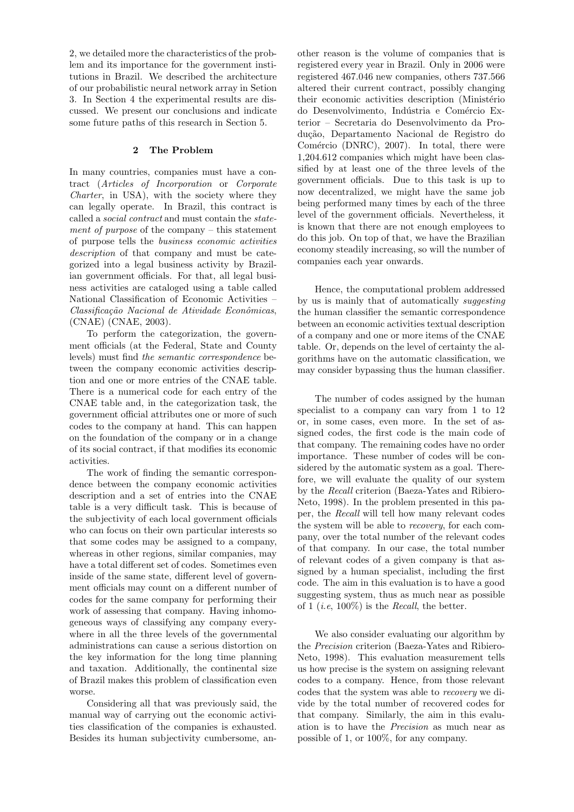2, we detailed more the characteristics of the problem and its importance for the government institutions in Brazil. We described the architecture of our probabilistic neural network array in Setion 3. In Section 4 the experimental results are discussed. We present our conclusions and indicate some future paths of this research in Section 5.

# 2 The Problem

In many countries, companies must have a contract (Articles of Incorporation or Corporate Charter, in USA), with the society where they can legally operate. In Brazil, this contract is called a social contract and must contain the statement of purpose of the company – this statement of purpose tells the business economic activities description of that company and must be categorized into a legal business activity by Brazilian government officials. For that, all legal business activities are cataloged using a table called National Classification of Economic Activities – Classificação Nacional de Atividade Econômicas, (CNAE) (CNAE, 2003).

To perform the categorization, the government officials (at the Federal, State and County levels) must find the semantic correspondence between the company economic activities description and one or more entries of the CNAE table. There is a numerical code for each entry of the CNAE table and, in the categorization task, the government official attributes one or more of such codes to the company at hand. This can happen on the foundation of the company or in a change of its social contract, if that modifies its economic activities.

The work of finding the semantic correspondence between the company economic activities description and a set of entries into the CNAE table is a very difficult task. This is because of the subjectivity of each local government officials who can focus on their own particular interests so that some codes may be assigned to a company, whereas in other regions, similar companies, may have a total different set of codes. Sometimes even inside of the same state, different level of government officials may count on a different number of codes for the same company for performing their work of assessing that company. Having inhomogeneous ways of classifying any company everywhere in all the three levels of the governmental administrations can cause a serious distortion on the key information for the long time planning and taxation. Additionally, the continental size of Brazil makes this problem of classification even worse.

Considering all that was previously said, the manual way of carrying out the economic activities classification of the companies is exhausted. Besides its human subjectivity cumbersome, an-

other reason is the volume of companies that is registered every year in Brazil. Only in 2006 were registered 467.046 new companies, others 737.566 altered their current contract, possibly changing their economic activities description (Ministério do Desenvolvimento, Indústria e Comércio Exterior – Secretaria do Desenvolvimento da Produção, Departamento Nacional de Registro do Comércio (DNRC), 2007). In total, there were 1,204.612 companies which might have been classified by at least one of the three levels of the government officials. Due to this task is up to now decentralized, we might have the same job being performed many times by each of the three level of the government officials. Nevertheless, it is known that there are not enough employees to do this job. On top of that, we have the Brazilian economy steadily increasing, so will the number of companies each year onwards.

Hence, the computational problem addressed by us is mainly that of automatically suggesting the human classifier the semantic correspondence between an economic activities textual description of a company and one or more items of the CNAE table. Or, depends on the level of certainty the algorithms have on the automatic classification, we may consider bypassing thus the human classifier.

The number of codes assigned by the human specialist to a company can vary from 1 to 12 or, in some cases, even more. In the set of assigned codes, the first code is the main code of that company. The remaining codes have no order importance. These number of codes will be considered by the automatic system as a goal. Therefore, we will evaluate the quality of our system by the Recall criterion (Baeza-Yates and Ribiero-Neto, 1998). In the problem presented in this paper, the Recall will tell how many relevant codes the system will be able to recovery, for each company, over the total number of the relevant codes of that company. In our case, the total number of relevant codes of a given company is that assigned by a human specialist, including the first code. The aim in this evaluation is to have a good suggesting system, thus as much near as possible of 1 (*i.e.* 100%) is the *Recall*, the better.

We also consider evaluating our algorithm by the Precision criterion (Baeza-Yates and Ribiero-Neto, 1998). This evaluation measurement tells us how precise is the system on assigning relevant codes to a company. Hence, from those relevant codes that the system was able to recovery we divide by the total number of recovered codes for that company. Similarly, the aim in this evaluation is to have the Precision as much near as possible of 1, or 100%, for any company.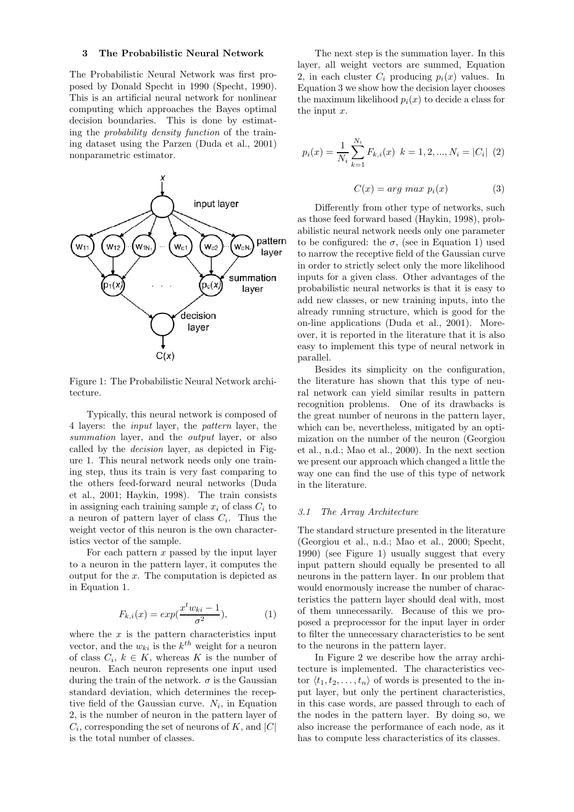#### 3 The Probabilistic Neural Network

The Probabilistic Neural Network was first proposed by Donald Specht in 1990 (Specht, 1990). This is an artificial neural network for nonlinear computing which approaches the Bayes optimal decision boundaries. This is done by estimating the probability density function of the training dataset using the Parzen (Duda et al., 2001) nonparametric estimator.



Figure 1: The Probabilistic Neural Network architecture.

Typically, this neural network is composed of 4 layers: the input layer, the pattern layer, the summation layer, and the output layer, or also called by the decision layer, as depicted in Figure 1. This neural network needs only one training step, thus its train is very fast comparing to the others feed-forward neural networks (Duda et al., 2001; Haykin, 1998). The train consists in assigning each training sample  $x_i$  of class  $C_i$  to a neuron of pattern layer of class  $C_i$ . Thus the weight vector of this neuron is the own characteristics vector of the sample.

For each pattern  $x$  passed by the input layer to a neuron in the pattern layer, it computes the output for the x. The computation is depicted as in Equation 1.

$$
F_{k,i}(x) = exp(\frac{x^t w_{ki} - 1}{\sigma^2}), \qquad (1)
$$

where the  $x$  is the pattern characteristics input vector, and the  $w_{ki}$  is the  $k^{th}$  weight for a neuron of class  $C_i, k \in K$ , whereas K is the number of neuron. Each neuron represents one input used during the train of the network.  $\sigma$  is the Gaussian standard deviation, which determines the receptive field of the Gaussian curve.  $N_i$ , in Equation 2, is the number of neuron in the pattern layer of  $C_i$ , corresponding the set of neurons of K, and  $|C|$ is the total number of classes.

The next step is the summation layer. In this layer, all weight vectors are summed, Equation 2, in each cluster  $C_i$  producing  $p_i(x)$  values. In Equation 3 we show how the decision layer chooses the maximum likelihood  $p_i(x)$  to decide a class for the input  $x$ .

$$
p_i(x) = \frac{1}{N_i} \sum_{k=1}^{N_i} F_{k,i}(x) \ \ k = 1, 2, ..., N_i = |C_i| \ (2)
$$

$$
C(x) = arg max p_i(x) \tag{3}
$$

Differently from other type of networks, such as those feed forward based (Haykin, 1998), probabilistic neural network needs only one parameter to be configured: the  $\sigma$ , (see in Equation 1) used to narrow the receptive field of the Gaussian curve in order to strictly select only the more likelihood inputs for a given class. Other advantages of the probabilistic neural networks is that it is easy to add new classes, or new training inputs, into the already running structure, which is good for the on-line applications (Duda et al., 2001). Moreover, it is reported in the literature that it is also easy to implement this type of neural network in parallel.

Besides its simplicity on the configuration, the literature has shown that this type of neural network can yield similar results in pattern recognition problems. One of its drawbacks is the great number of neurons in the pattern layer, which can be, nevertheless, mitigated by an optimization on the number of the neuron (Georgiou et al., n.d.; Mao et al., 2000). In the next section we present our approach which changed a little the way one can find the use of this type of network in the literature.

## 3.1 The Array Architecture

The standard structure presented in the literature (Georgiou et al., n.d.; Mao et al., 2000; Specht, 1990) (see Figure 1) usually suggest that every input pattern should equally be presented to all neurons in the pattern layer. In our problem that would enormously increase the number of characteristics the pattern layer should deal with, most of them unnecessarily. Because of this we proposed a preprocessor for the input layer in order to filter the unnecessary characteristics to be sent to the neurons in the pattern layer.

In Figure 2 we describe how the array architecture is implemented. The characteristics vector  $\langle t_1, t_2, \ldots, t_n \rangle$  of words is presented to the input layer, but only the pertinent characteristics, in this case words, are passed through to each of the nodes in the pattern layer. By doing so, we also increase the performance of each node, as it has to compute less characteristics of its classes.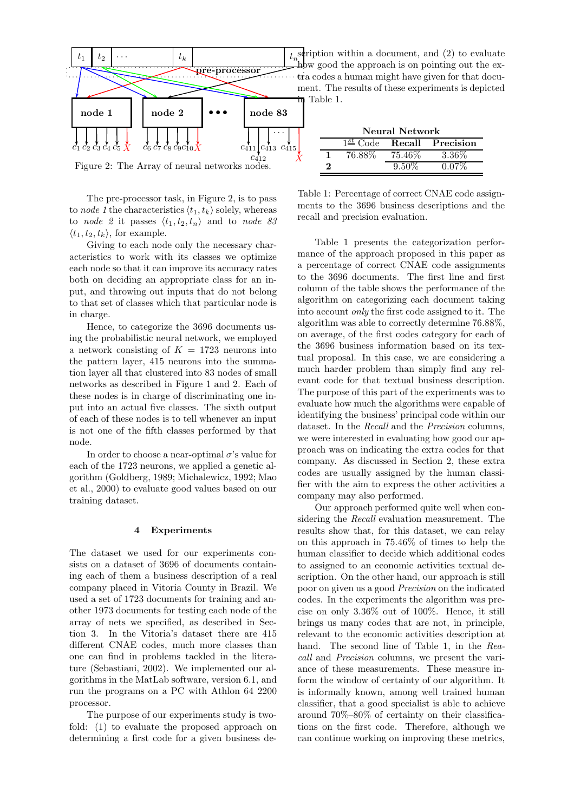

Figure 2: The Array of neural networks nodes.

The pre-processor task, in Figure 2, is to pass to node 1 the characteristics  $\langle t_1, t_k \rangle$  solely, whereas to node 2 it passes  $\langle t_1, t_2, t_n \rangle$  and to node 83  $\langle t_1, t_2, t_k \rangle$ , for example.

Giving to each node only the necessary characteristics to work with its classes we optimize each node so that it can improve its accuracy rates both on deciding an appropriate class for an input, and throwing out inputs that do not belong to that set of classes which that particular node is in charge.

Hence, to categorize the 3696 documents using the probabilistic neural network, we employed a network consisting of  $K = 1723$  neurons into the pattern layer, 415 neurons into the summation layer all that clustered into 83 nodes of small networks as described in Figure 1 and 2. Each of these nodes is in charge of discriminating one input into an actual five classes. The sixth output of each of these nodes is to tell whenever an input is not one of the fifth classes performed by that node.

In order to choose a near-optimal  $\sigma$ 's value for each of the 1723 neurons, we applied a genetic algorithm (Goldberg, 1989; Michalewicz, 1992; Mao et al., 2000) to evaluate good values based on our training dataset.

### 4 Experiments

The dataset we used for our experiments consists on a dataset of 3696 of documents containing each of them a business description of a real company placed in Vitoria County in Brazil. We used a set of 1723 documents for training and another 1973 documents for testing each node of the array of nets we specified, as described in Section 3. In the Vitoria's dataset there are 415 different CNAE codes, much more classes than one can find in problems tackled in the literature (Sebastiani, 2002). We implemented our algorithms in the MatLab software, version 6.1, and run the programs on a PC with Athlon 64 2200 processor.

The purpose of our experiments study is twofold: (1) to evaluate the proposed approach on determining a first code for a given business destription within a document, and  $(2)$  to evaluate how good the approach is on pointing out the extra codes a human might have given for that document. The results of these experiments is depicted Table 1.

| Neural Network |        |          |                             |
|----------------|--------|----------|-----------------------------|
|                |        |          | $1st$ Code Recall Precision |
|                | 76.88% | 75.46%   | 3.36\%                      |
| :י             |        | $9.50\%$ | $0.07\%$                    |

Table 1: Percentage of correct CNAE code assignments to the 3696 business descriptions and the recall and precision evaluation.

Table 1 presents the categorization performance of the approach proposed in this paper as a percentage of correct CNAE code assignments to the 3696 documents. The first line and first column of the table shows the performance of the algorithm on categorizing each document taking into account only the first code assigned to it. The algorithm was able to correctly determine 76.88%, on average, of the first codes category for each of the 3696 business information based on its textual proposal. In this case, we are considering a much harder problem than simply find any relevant code for that textual business description. The purpose of this part of the experiments was to evaluate how much the algorithms were capable of identifying the business' principal code within our dataset. In the *Recall* and the *Precision* columns, we were interested in evaluating how good our approach was on indicating the extra codes for that company. As discussed in Section 2, these extra codes are usually assigned by the human classifier with the aim to express the other activities a company may also performed.

Our approach performed quite well when considering the Recall evaluation measurement. The results show that, for this dataset, we can relay on this approach in 75.46% of times to help the human classifier to decide which additional codes to assigned to an economic activities textual description. On the other hand, our approach is still poor on given us a good Precision on the indicated codes. In the experiments the algorithm was precise on only 3.36% out of 100%. Hence, it still brings us many codes that are not, in principle, relevant to the economic activities description at hand. The second line of Table 1, in the Reacall and Precision columns, we present the variance of these measurements. These measure inform the window of certainty of our algorithm. It is informally known, among well trained human classifier, that a good specialist is able to achieve around 70%–80% of certainty on their classifications on the first code. Therefore, although we can continue working on improving these metrics,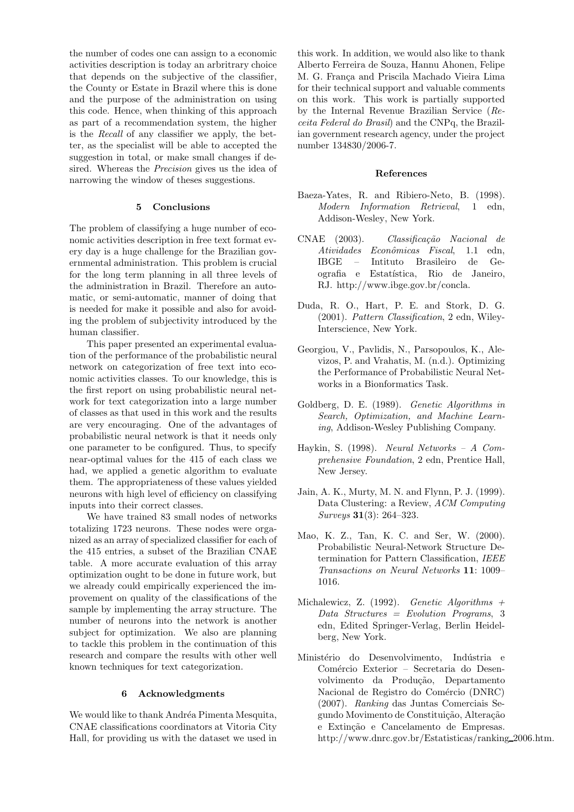the number of codes one can assign to a economic activities description is today an arbritrary choice that depends on the subjective of the classifier, the County or Estate in Brazil where this is done and the purpose of the administration on using this code. Hence, when thinking of this approach as part of a recommendation system, the higher is the Recall of any classifier we apply, the better, as the specialist will be able to accepted the suggestion in total, or make small changes if desired. Whereas the Precision gives us the idea of narrowing the window of theses suggestions.

## 5 Conclusions

The problem of classifying a huge number of economic activities description in free text format every day is a huge challenge for the Brazilian governmental administration. This problem is crucial for the long term planning in all three levels of the administration in Brazil. Therefore an automatic, or semi-automatic, manner of doing that is needed for make it possible and also for avoiding the problem of subjectivity introduced by the human classifier.

This paper presented an experimental evaluation of the performance of the probabilistic neural network on categorization of free text into economic activities classes. To our knowledge, this is the first report on using probabilistic neural network for text categorization into a large number of classes as that used in this work and the results are very encouraging. One of the advantages of probabilistic neural network is that it needs only one parameter to be configured. Thus, to specify near-optimal values for the 415 of each class we had, we applied a genetic algorithm to evaluate them. The appropriateness of these values yielded neurons with high level of efficiency on classifying inputs into their correct classes.

We have trained 83 small nodes of networks totalizing 1723 neurons. These nodes were organized as an array of specialized classifier for each of the 415 entries, a subset of the Brazilian CNAE table. A more accurate evaluation of this array optimization ought to be done in future work, but we already could empirically experienced the improvement on quality of the classifications of the sample by implementing the array structure. The number of neurons into the network is another subject for optimization. We also are planning to tackle this problem in the continuation of this research and compare the results with other well known techniques for text categorization.

#### 6 Acknowledgments

We would like to thank Andréa Pimenta Mesquita, CNAE classifications coordinators at Vitoria City Hall, for providing us with the dataset we used in

this work. In addition, we would also like to thank Alberto Ferreira de Souza, Hannu Ahonen, Felipe M. G. França and Priscila Machado Vieira Lima for their technical support and valuable comments on this work. This work is partially supported by the Internal Revenue Brazilian Service (Receita Federal do Brasil) and the CNPq, the Brazilian government research agency, under the project number 134830/2006-7.

### References

- Baeza-Yates, R. and Ribiero-Neto, B. (1998). Modern Information Retrieval, 1 edn, Addison-Wesley, New York.
- CNAE (2003). Classificação Nacional de Atividades Econômicas Fiscal, 1.1 edn, IBGE – Intituto Brasileiro de Geografia e Estatística, Rio de Janeiro, RJ. http://www.ibge.gov.br/concla.
- Duda, R. O., Hart, P. E. and Stork, D. G. (2001). Pattern Classification, 2 edn, Wiley-Interscience, New York.
- Georgiou, V., Pavlidis, N., Parsopoulos, K., Alevizos, P. and Vrahatis, M. (n.d.). Optimizing the Performance of Probabilistic Neural Networks in a Bionformatics Task.
- Goldberg, D. E. (1989). Genetic Algorithms in Search, Optimization, and Machine Learning, Addison-Wesley Publishing Company.
- Haykin, S. (1998). Neural Networks A Comprehensive Foundation, 2 edn, Prentice Hall, New Jersey.
- Jain, A. K., Murty, M. N. and Flynn, P. J. (1999). Data Clustering: a Review, ACM Computing Surveys 31(3): 264–323.
- Mao, K. Z., Tan, K. C. and Ser, W. (2000). Probabilistic Neural-Network Structure Determination for Pattern Classification, IEEE Transactions on Neural Networks 11: 1009– 1016.
- Michalewicz, Z. (1992). Genetic Algorithms + Data Structures = Evolution Programs, 3 edn, Edited Springer-Verlag, Berlin Heidelberg, New York.
- Ministério do Desenvolvimento, Indústria e Comércio Exterior – Secretaria do Desenvolvimento da Produção, Departamento Nacional de Registro do Comércio (DNRC) (2007). Ranking das Juntas Comerciais Segundo Movimento de Constituição, Alteração e Extinção e Cancelamento de Empresas. http://www.dnrc.gov.br/Estatisticas/ranking 2006.htm.